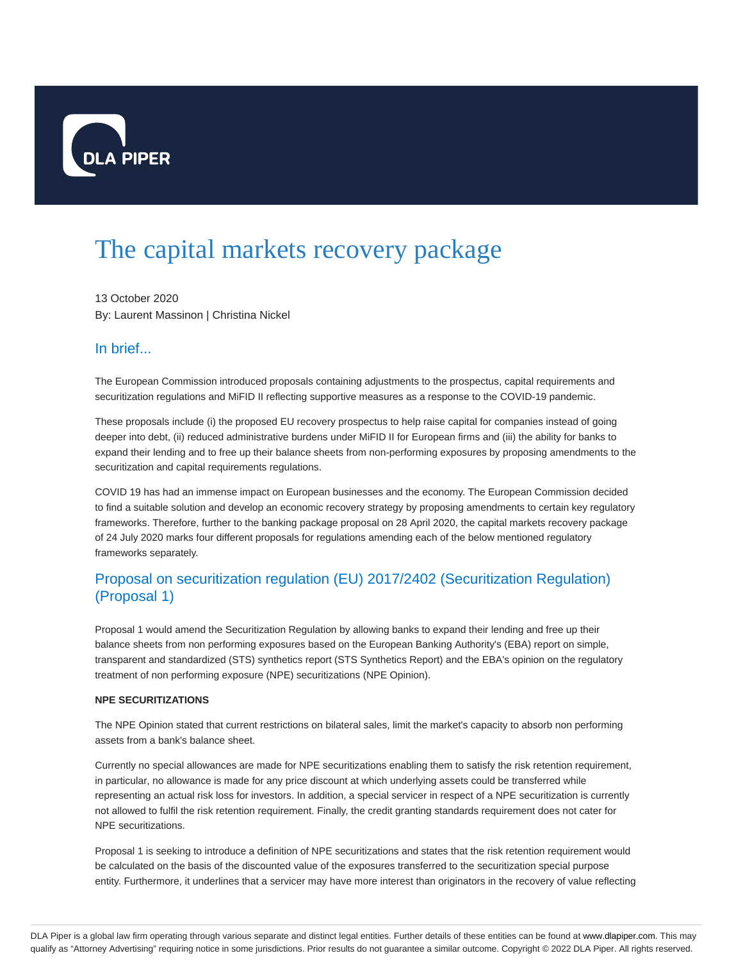

# The capital markets recovery package

13 October 2020 By: Laurent Massinon | Christina Nickel

## In brief...

The European Commission introduced proposals containing adjustments to the prospectus, capital requirements and securitization regulations and MiFID II reflecting supportive measures as a response to the COVID-19 pandemic.

These proposals include (i) the proposed EU recovery prospectus to help raise capital for companies instead of going deeper into debt, (ii) reduced administrative burdens under MiFID II for European firms and (iii) the ability for banks to expand their lending and to free up their balance sheets from non-performing exposures by proposing amendments to the securitization and capital requirements regulations.

COVID 19 has had an immense impact on European businesses and the economy. The European Commission decided to find a suitable solution and develop an economic recovery strategy by proposing amendments to certain key regulatory frameworks. Therefore, further to the banking package proposal on 28 April 2020, the capital markets recovery package of 24 July 2020 marks four different proposals for regulations amending each of the below mentioned regulatory frameworks separately.

## Proposal on securitization regulation (EU) 2017/2402 (Securitization Regulation) (Proposal 1)

Proposal 1 would amend the Securitization Regulation by allowing banks to expand their lending and free up their balance sheets from non performing exposures based on the European Banking Authority's (EBA) report on simple, transparent and standardized (STS) synthetics report (STS Synthetics Report) and the EBA's opinion on the regulatory treatment of non performing exposure (NPE) securitizations (NPE Opinion).

## **NPE SECURITIZATIONS**

The NPE Opinion stated that current restrictions on bilateral sales, limit the market's capacity to absorb non performing assets from a bank's balance sheet.

Currently no special allowances are made for NPE securitizations enabling them to satisfy the risk retention requirement, in particular, no allowance is made for any price discount at which underlying assets could be transferred while representing an actual risk loss for investors. In addition, a special servicer in respect of a NPE securitization is currently not allowed to fulfil the risk retention requirement. Finally, the credit granting standards requirement does not cater for NPE securitizations.

Proposal 1 is seeking to introduce a definition of NPE securitizations and states that the risk retention requirement would be calculated on the basis of the discounted value of the exposures transferred to the securitization special purpose entity. Furthermore, it underlines that a servicer may have more interest than originators in the recovery of value reflecting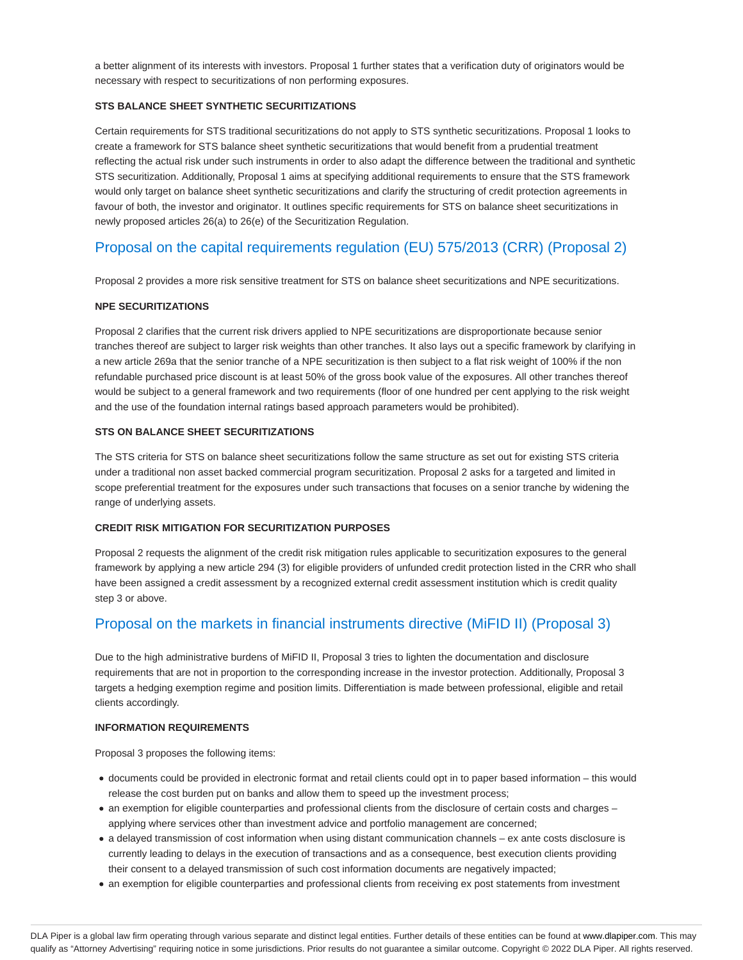a better alignment of its interests with investors. Proposal 1 further states that a verification duty of originators would be necessary with respect to securitizations of non performing exposures.

## **STS BALANCE SHEET SYNTHETIC SECURITIZATIONS**

Certain requirements for STS traditional securitizations do not apply to STS synthetic securitizations. Proposal 1 looks to create a framework for STS balance sheet synthetic securitizations that would benefit from a prudential treatment reflecting the actual risk under such instruments in order to also adapt the difference between the traditional and synthetic STS securitization. Additionally, Proposal 1 aims at specifying additional requirements to ensure that the STS framework would only target on balance sheet synthetic securitizations and clarify the structuring of credit protection agreements in favour of both, the investor and originator. It outlines specific requirements for STS on balance sheet securitizations in newly proposed articles 26(a) to 26(e) of the Securitization Regulation.

# Proposal on the capital requirements regulation (EU) 575/2013 (CRR) (Proposal 2)

Proposal 2 provides a more risk sensitive treatment for STS on balance sheet securitizations and NPE securitizations.

## **NPE SECURITIZATIONS**

Proposal 2 clarifies that the current risk drivers applied to NPE securitizations are disproportionate because senior tranches thereof are subject to larger risk weights than other tranches. It also lays out a specific framework by clarifying in a new article 269a that the senior tranche of a NPE securitization is then subject to a flat risk weight of 100% if the non refundable purchased price discount is at least 50% of the gross book value of the exposures. All other tranches thereof would be subject to a general framework and two requirements (floor of one hundred per cent applying to the risk weight and the use of the foundation internal ratings based approach parameters would be prohibited).

## **STS ON BALANCE SHEET SECURITIZATIONS**

The STS criteria for STS on balance sheet securitizations follow the same structure as set out for existing STS criteria under a traditional non asset backed commercial program securitization. Proposal 2 asks for a targeted and limited in scope preferential treatment for the exposures under such transactions that focuses on a senior tranche by widening the range of underlying assets.

#### **CREDIT RISK MITIGATION FOR SECURITIZATION PURPOSES**

Proposal 2 requests the alignment of the credit risk mitigation rules applicable to securitization exposures to the general framework by applying a new article 294 (3) for eligible providers of unfunded credit protection listed in the CRR who shall have been assigned a credit assessment by a recognized external credit assessment institution which is credit quality step 3 or above.

## Proposal on the markets in financial instruments directive (MiFID II) (Proposal 3)

Due to the high administrative burdens of MiFID II, Proposal 3 tries to lighten the documentation and disclosure requirements that are not in proportion to the corresponding increase in the investor protection. Additionally, Proposal 3 targets a hedging exemption regime and position limits. Differentiation is made between professional, eligible and retail clients accordingly.

#### **INFORMATION REQUIREMENTS**

Proposal 3 proposes the following items:

- documents could be provided in electronic format and retail clients could opt in to paper based information this would release the cost burden put on banks and allow them to speed up the investment process;
- an exemption for eligible counterparties and professional clients from the disclosure of certain costs and charges applying where services other than investment advice and portfolio management are concerned;
- a delayed transmission of cost information when using distant communication channels ex ante costs disclosure is currently leading to delays in the execution of transactions and as a consequence, best execution clients providing their consent to a delayed transmission of such cost information documents are negatively impacted;
- an exemption for eligible counterparties and professional clients from receiving ex post statements from investment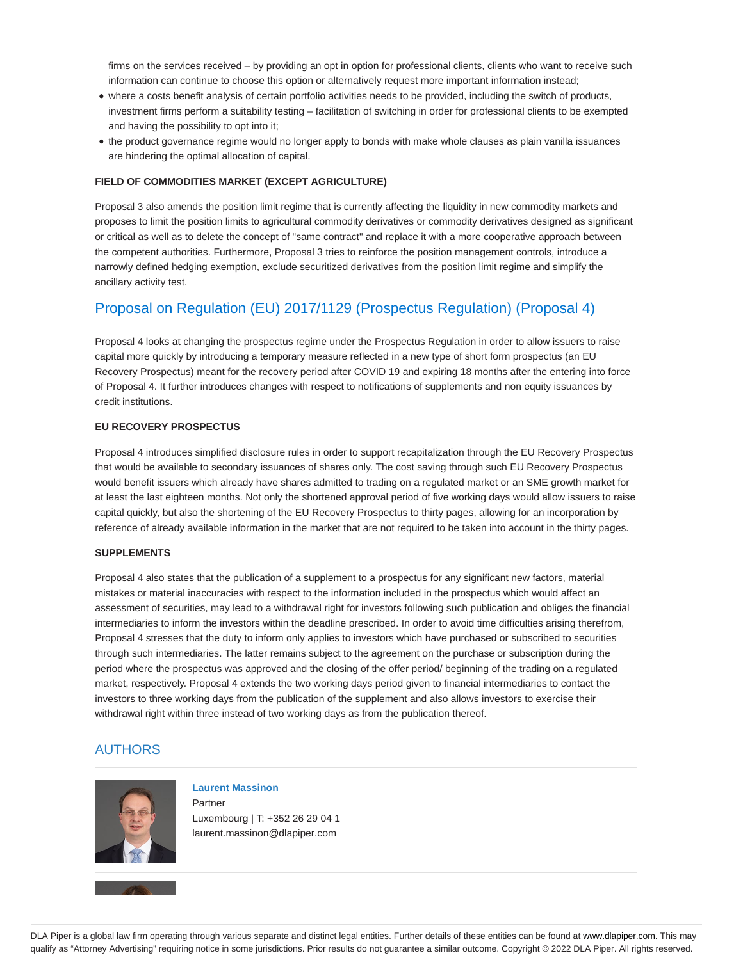firms on the services received – by providing an opt in option for professional clients, clients who want to receive such information can continue to choose this option or alternatively request more important information instead;

- where a costs benefit analysis of certain portfolio activities needs to be provided, including the switch of products, investment firms perform a suitability testing – facilitation of switching in order for professional clients to be exempted and having the possibility to opt into it;
- the product governance regime would no longer apply to bonds with make whole clauses as plain vanilla issuances are hindering the optimal allocation of capital.

#### **FIELD OF COMMODITIES MARKET (EXCEPT AGRICULTURE)**

Proposal 3 also amends the position limit regime that is currently affecting the liquidity in new commodity markets and proposes to limit the position limits to agricultural commodity derivatives or commodity derivatives designed as significant or critical as well as to delete the concept of "same contract" and replace it with a more cooperative approach between the competent authorities. Furthermore, Proposal 3 tries to reinforce the position management controls, introduce a narrowly defined hedging exemption, exclude securitized derivatives from the position limit regime and simplify the ancillary activity test.

## Proposal on Regulation (EU) 2017/1129 (Prospectus Regulation) (Proposal 4)

Proposal 4 looks at changing the prospectus regime under the Prospectus Regulation in order to allow issuers to raise capital more quickly by introducing a temporary measure reflected in a new type of short form prospectus (an EU Recovery Prospectus) meant for the recovery period after COVID 19 and expiring 18 months after the entering into force of Proposal 4. It further introduces changes with respect to notifications of supplements and non equity issuances by credit institutions.

## **EU RECOVERY PROSPECTUS**

Proposal 4 introduces simplified disclosure rules in order to support recapitalization through the EU Recovery Prospectus that would be available to secondary issuances of shares only. The cost saving through such EU Recovery Prospectus would benefit issuers which already have shares admitted to trading on a regulated market or an SME growth market for at least the last eighteen months. Not only the shortened approval period of five working days would allow issuers to raise capital quickly, but also the shortening of the EU Recovery Prospectus to thirty pages, allowing for an incorporation by reference of already available information in the market that are not required to be taken into account in the thirty pages.

#### **SUPPLEMENTS**

Proposal 4 also states that the publication of a supplement to a prospectus for any significant new factors, material mistakes or material inaccuracies with respect to the information included in the prospectus which would affect an assessment of securities, may lead to a withdrawal right for investors following such publication and obliges the financial intermediaries to inform the investors within the deadline prescribed. In order to avoid time difficulties arising therefrom, Proposal 4 stresses that the duty to inform only applies to investors which have purchased or subscribed to securities through such intermediaries. The latter remains subject to the agreement on the purchase or subscription during the period where the prospectus was approved and the closing of the offer period/ beginning of the trading on a regulated market, respectively. Proposal 4 extends the two working days period given to financial intermediaries to contact the investors to three working days from the publication of the supplement and also allows investors to exercise their withdrawal right within three instead of two working days as from the publication thereof.

## AUTHORS



## **Laurent Massinon**

Partner Luxembourg | T: +352 26 29 04 1 laurent.massinon@dlapiper.com

DLA Piper is a global law firm operating through various separate and distinct legal entities. Further details of these entities can be found at www.dlapiper.com. This may qualify as "Attorney Advertising" requiring notice in some jurisdictions. Prior results do not guarantee a similar outcome. Copyright © 2022 DLA Piper. All rights reserved.